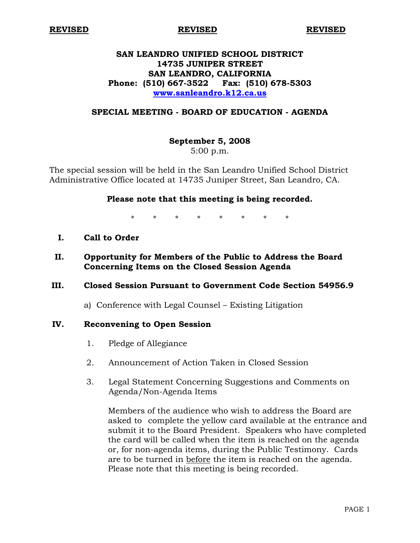**REVISED REVISED REVISED**

# **SAN LEANDRO UNIFIED SCHOOL DISTRICT 14735 JUNIPER STREET SAN LEANDRO, CALIFORNIA Phone: (510) 667-3522 Fax: (510) 678-5303 www.sanleandro.k12.ca.us**

### **SPECIAL MEETING - BOARD OF EDUCATION - AGENDA**

#### **September 5, 2008**

5:00 p.m.

The special session will be held in the San Leandro Unified School District Administrative Office located at 14735 Juniper Street, San Leandro, CA.

# **Please note that this meeting is being recorded.**

\* \* \* \* \* \* \* \*

- **I. Call to Order**
- **II. Opportunity for Members of the Public to Address the Board Concerning Items on the Closed Session Agenda**

#### **III. Closed Session Pursuant to Government Code Section 54956.9**

a) Conference with Legal Counsel – Existing Litigation

#### **IV. Reconvening to Open Session**

- 1. Pledge of Allegiance
- 2. Announcement of Action Taken in Closed Session
- 3. Legal Statement Concerning Suggestions and Comments on Agenda/Non-Agenda Items

 Members of the audience who wish to address the Board are asked to complete the yellow card available at the entrance and submit it to the Board President. Speakers who have completed the card will be called when the item is reached on the agenda or, for non-agenda items, during the Public Testimony. Cards are to be turned in before the item is reached on the agenda. Please note that this meeting is being recorded.